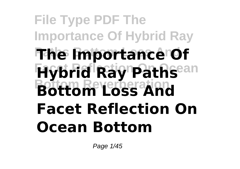# **File Type PDF The Importance Of Hybrid Ray The Importance Of Facet Reflection On Ocean Hybrid Ray Paths Bottom Reverberation Bottom Loss And Facet Reflection On Ocean Bottom**

Page 1/45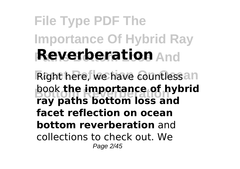# **File Type PDF The Importance Of Hybrid Ray Reverberation** And

**Right here, we have countlessan** book **the importance of hybrid**<br>Faultable hatters loss and **ray paths bottom loss and facet reflection on ocean bottom reverberation** and collections to check out. We Page 2/45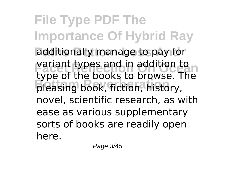**File Type PDF The Importance Of Hybrid Ray** additionally manage to pay for variant types and in addition to **Bottom Reverberation** pleasing book, fiction, history, type of the books to browse. The novel, scientific research, as with ease as various supplementary sorts of books are readily open here.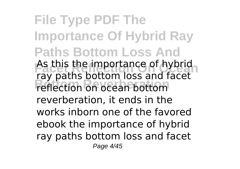**File Type PDF The Importance Of Hybrid Ray Paths Bottom Loss And** As this the importance of hybrid reflection on ocean bottom ray paths bottom loss and facet reverberation, it ends in the works inborn one of the favored ebook the importance of hybrid ray paths bottom loss and facet Page 4/45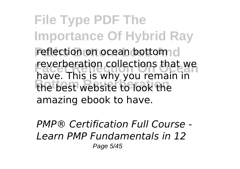**File Type PDF The Importance Of Hybrid Ray** reflection on ocean bottom d reverberation collections that we<br>have. This is why you remain in **Bottom Reverberation** the best website to look the reverberation collections that we amazing ebook to have.

*PMP® Certification Full Course - Learn PMP Fundamentals in 12* Page 5/45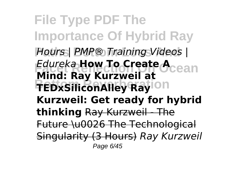**File Type PDF The Importance Of Hybrid Ray Paths Bottom Loss And** *Hours | PMP® Training Videos | Edureka* **How To Create Acean Bottom Reverberation TEDxSiliconAlley Ray Mind: Ray Kurzweil at Kurzweil: Get ready for hybrid thinking** Ray Kurzweil - The Future \u0026 The Technological Singularity (3 Hours) *Ray Kurzweil* Page 6/45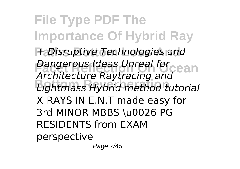**File Type PDF The Importance Of Hybrid Ray Paths Bottom Loss And** *+ Disruptive Technologies and* **Facet Reflection On Ocean** *Dangerous Ideas Unreal for* **Bottom Reverberation** *Lightmass Hybrid method tutorial Architecture Raytracing and* X-RAYS IN E.N.T made easy for 3rd MINOR MBBS \u0026 PG RESIDENTS from EXAM perspective

Page 7/45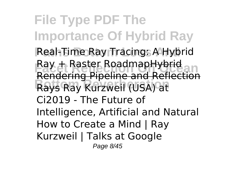**File Type PDF The Importance Of Hybrid Ray** Real-Time Ray Tracing: A Hybrid **Fax + Raster RoadmapHybrid**<br>Randoring Disoling and Deflection **Bottom Reverberation** Rays Ray Kurzweil (USA) at Rendering Pipeline and Reflection Ci2019 - The Future of Intelligence, Artificial and Natural How to Create a Mind | Ray Kurzweil | Talks at Google Page 8/45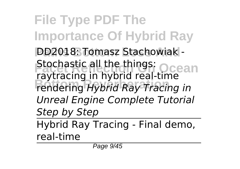**File Type PDF The Importance Of Hybrid Ray PD2018: Tomasz Stachowiak -Stochastic all the things: Ocean Bottom Reverberation** rendering *Hybrid Ray Tracing in* raytracing in hybrid real-time *Unreal Engine Complete Tutorial Step by Step* Hybrid Ray Tracing - Final demo,

real-time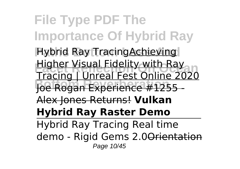**File Type PDF The Importance Of Hybrid Ray Hybrid Ray TracingAchieving Facet Reflection On Ocean** Tracing | Unreal Fest Online 2020 **Bottom Reverberation** Joe Rogan Experience #1255 - Higher Visual Fidelity with Ray Alex Jones Returns! **Vulkan Hybrid Ray Raster Demo** Hybrid Ray Tracing Real time demo - Rigid Gems 2.0Orientation Page 10/45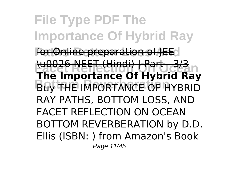**File Type PDF The Importance Of Hybrid Ray** for Online preparation of JEE **Facet Reflection On Ocean The Importance Of Hybrid Ray Buy THE IMPORTANCE OF HYBRID** \u0026 NEET (Hindi) | Part - 3/3 RAY PATHS, BOTTOM LOSS, AND FACET REFLECTION ON OCEAN BOTTOM REVERBERATION by D.D. Ellis (ISBN: ) from Amazon's Book Page 11/45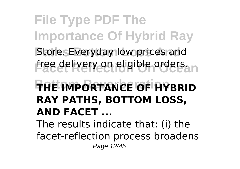**File Type PDF The Importance Of Hybrid Ray** Store. Everyday low prices and free delivery on eligible orders. **Bottom Reverberation THE IMPORTANCE OF HYBRID RAY PATHS, BOTTOM LOSS, AND FACET ...** The results indicate that: (i) the facet-reflection process broadens Page 12/45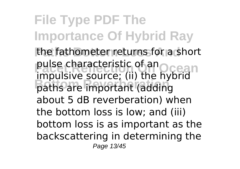**File Type PDF The Importance Of Hybrid Ray** the fathometer returns for a short pulse characteristic of an<br>impulsive contract (ii) the Ocean **Bottom Reverberation** paths are important (adding impulsive source; (ii) the hybrid about 5 dB reverberation) when the bottom loss is low; and (iii) bottom loss is as important as the backscattering in determining the Page 13/45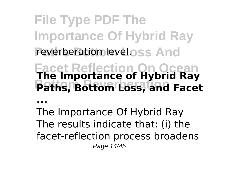**File Type PDF The Importance Of Hybrid Ray** reverberation level.oss And

**Facet Reflection On Ocean The Importance of Hybrid Ray Bottom Reverberation Paths, Bottom Loss, and Facet**

**...**

The Importance Of Hybrid Ray The results indicate that: (i) the facet-reflection process broadens Page 14/45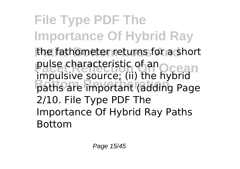**File Type PDF The Importance Of Hybrid Ray** the fathometer returns for a short pulse characteristic of an<br>impulsive contract (ii) the Ocean **Bottom Reverberation** paths are important (adding Page impulsive source; (ii) the hybrid 2/10. File Type PDF The Importance Of Hybrid Ray Paths Bottom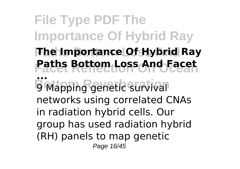**File Type PDF The Importance Of Hybrid Ray Paths Bottom Loss And The Importance Of Hybrid Ray Facet Reflection On Ocean Paths Bottom Loss And Facet B** Mapping genetic survival **...** 9 Mapping genetic survival networks using correlated CNAs in radiation hybrid cells. Our group has used radiation hybrid (RH) panels to map genetic Page 16/45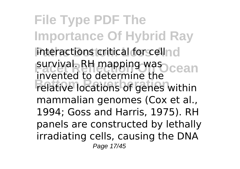**File Type PDF The Importance Of Hybrid Ray** interactions critical for cellnd survival. RH mapping was cean **Bottom Reverberation** relative locations of genes within invented to determine the mammalian genomes (Cox et al., 1994; Goss and Harris, 1975). RH panels are constructed by lethally irradiating cells, causing the DNA Page 17/45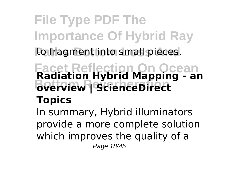## **File Type PDF The Importance Of Hybrid Ray** to fragment into small pieces.

### **Facet Reflection On Ocean Radiation Hybrid Mapping - an Bottom Reverberation overview | ScienceDirect Topics**

In summary, Hybrid illuminators provide a more complete solution which improves the quality of a Page 18/45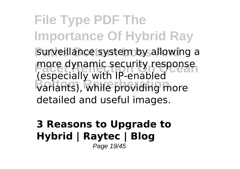**File Type PDF The Importance Of Hybrid Ray** surveillance system by allowing a more dynamic security response variants), while providing more (especially with IP-enabled detailed and useful images.

#### **3 Reasons to Upgrade to Hybrid | Raytec | Blog** Page 19/45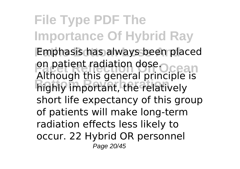**File Type PDF The Importance Of Hybrid Ray Emphasis has always been placed** on patient radiation dose. Ocean **Bottom Reverberation** highly important, the relatively Although this general principle is short life expectancy of this group of patients will make long-term radiation effects less likely to occur. 22 Hybrid OR personnel Page 20/45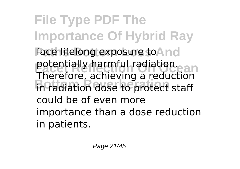**File Type PDF The Importance Of Hybrid Ray** face lifelong exposure to And potentially harmful radiation.<br>Therefore onlineing radiation **Bottom Reverberation** in radiation dose to protect staff Therefore, achieving a reduction could be of even more importance than a dose reduction in patients.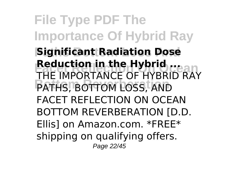**File Type PDF The Importance Of Hybrid Ray Significant Radiation Dose FRANCE REQUCTION IN THE IMPORTANCE OF HYBRID RAY PATHS, BOTTOM LOSS, AND Reduction in the Hybrid ...** FACET REFLECTION ON OCEAN BOTTOM REVERBERATION [D.D. Ellis] on Amazon.com. \*FREE\* shipping on qualifying offers. Page 22/45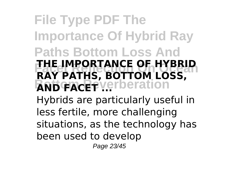### **File Type PDF The Importance Of Hybrid Ray Paths Bottom Loss And FACE IMPORTANCE OF HYBRID**<br>RAY PATHS, BOTTOM LOSS, **AND FACET Verberation THE IMPORTANCE OF HYBRID** Hybrids are particularly useful in less fertile, more challenging situations, as the technology has been used to develop Page 23/45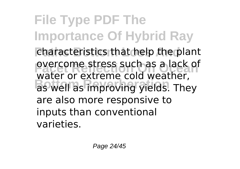**File Type PDF The Importance Of Hybrid Ray** characteristics that help the plant overcome stress such as a lack of<br>water or extreme cold weather, **Bottom Reverberation** as well as improving yields. They overcome stress such as a lack of are also more responsive to inputs than conventional varieties.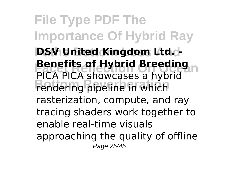**File Type PDF The Importance Of Hybrid Ray PSV United Kingdom Ltd. Benefits of Hybrid Breeding**<br>PICA PICA showcases a hybrid **Bottom Reverses** in the reverse of the redering pipeline in which **Benefits of Hybrid Breeding** rasterization, compute, and ray tracing shaders work together to enable real-time visuals approaching the quality of offline Page 25/45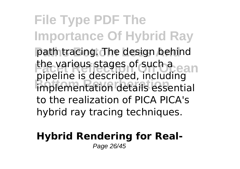**File Type PDF The Importance Of Hybrid Ray** path tracing. The design behind the various stages of such a **Bottom Reverberation** implementation details essential pipeline is described, including to the realization of PICA PICA's hybrid ray tracing techniques.

#### **Hybrid Rendering for Real-**Page 26/45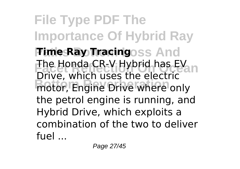**File Type PDF The Importance Of Hybrid Ray Fime Ray Tracingoss And** The Honda CR-V Hybrid has EV **Bottom Reverberation** motor, Engine Drive where only Drive, which uses the electric the petrol engine is running, and Hybrid Drive, which exploits a combination of the two to deliver fuel ...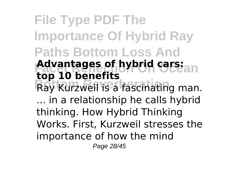**File Type PDF The Importance Of Hybrid Ray Paths Bottom Loss And Advantages of hybrid cars:**an Ray Kurzweil is a fascinating man. **top 10 benefits** ... in a relationship he calls hybrid thinking. How Hybrid Thinking Works. First, Kurzweil stresses the importance of how the mind Page 28/45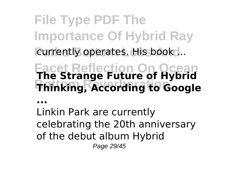**File Type PDF The Importance Of Hybrid Ray** currently operates. His book ...

**Facet Reflection On Ocean The Strange Future of Hybrid Bottom Reverberation Thinking, According to Google**

**...**

Linkin Park are currently celebrating the 20th anniversary of the debut album Hybrid Page 29/45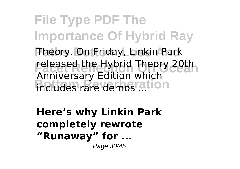**File Type PDF The Importance Of Hybrid Ray Theory. On Friday, Linkin Park** released the Hybrid Theory 20th **Bottom Reversery Existent Military** Anniversary Edition which

**Here's why Linkin Park completely rewrote "Runaway" for ...** Page 30/45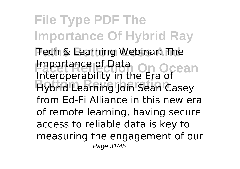**File Type PDF The Importance Of Hybrid Ray Fech & Learning Webinar: The Importance of Data**<br>Interception of On Ocean **Bottom Reverberation** Hybrid Learning Join Sean Casey Interoperability in the Era of from Ed-Fi Alliance in this new era of remote learning, having secure access to reliable data is key to measuring the engagement of our Page 31/45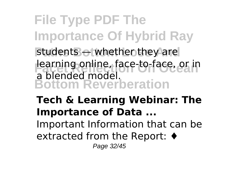**File Type PDF The Importance Of Hybrid Ray** students — whether they are **Face Reflection Contracts** Reflection Contracts on the product media of the product media of the United States **Bottom Reverberation** a blended model.

**Tech & Learning Webinar: The Importance of Data ...** Important Information that can be

extracted from the Report: ♦

Page 32/45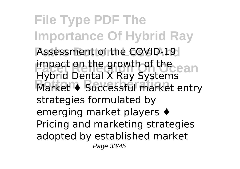**File Type PDF The Importance Of Hybrid Ray** Assessment of the COVID-19 impact on the growth of the ean **Bottom Reverberation** Market ♦ Successful market entry Hybrid Dental X Ray Systems strategies formulated by emerging market players ♦ Pricing and marketing strategies adopted by established market Page 33/45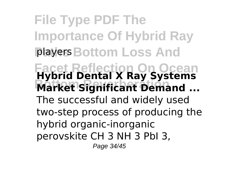**File Type PDF The Importance Of Hybrid Ray Players Bottom Loss And Facet Reflection On Ocean Hybrid Dental X Ray Systems Bottom Reverberation Market Significant Demand ...** The successful and widely used two-step process of producing the hybrid organic-inorganic perovskite CH 3 NH 3 PbI 3, Page 34/45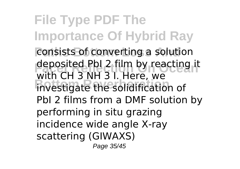**File Type PDF The Importance Of Hybrid Ray** consists of converting a solution deposited PbI 2 film by reacting it **Bottom Reverberation** investigate the solidification of with CH 3 NH 3 I. Here, we PbI 2 films from a DMF solution by performing in situ grazing incidence wide angle X-ray scattering (GIWAXS) Page 35/45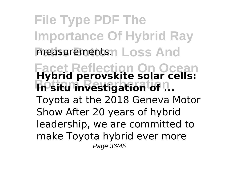**File Type PDF The Importance Of Hybrid Ray** measurements. Loss And **Facet Reflection On Ocean Hybrid perovskite solar cells: In situ investigation of ...** Toyota at the 2018 Geneva Motor Show After 20 years of hybrid leadership, we are committed to make Toyota hybrid ever more Page 36/45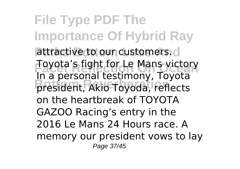**File Type PDF The Importance Of Hybrid Ray** attractive to our customers.d **Foyota's fight for Le Mans victory Bottom Reverberation** president, Akio Toyoda, reflects In a personal testimony, Toyota on the heartbreak of TOYOTA GAZOO Racing's entry in the 2016 Le Mans 24 Hours race. A memory our president vows to lay Page 37/45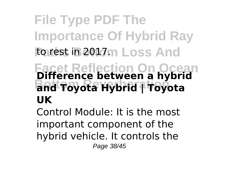## **File Type PDF The Importance Of Hybrid Ray** to rest in 2017m Loss And **Facet Reflection On Ocean Difference between a hybrid Bottom Reverberation and Toyota Hybrid | Toyota UK**

Control Module: It is the most important component of the hybrid vehicle. It controls the Page 38/45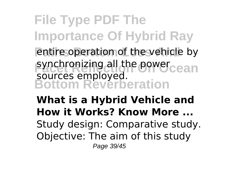**File Type PDF The Importance Of Hybrid Ray** entire operation of the vehicle by synchronizing all the power<sub>cean</sub> **Bottom Reverberation** sources employed.

**What is a Hybrid Vehicle and How it Works? Know More ...** Study design: Comparative study. Objective: The aim of this study Page 39/45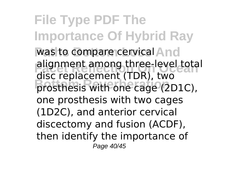**File Type PDF The Importance Of Hybrid Ray** was to compare cervical And **Falignment among three-level total Bottom Reverberation** prosthesis with one cage (2D1C), disc replacement (TDR), two one prosthesis with two cages (1D2C), and anterior cervical discectomy and fusion (ACDF), then identify the importance of Page 40/45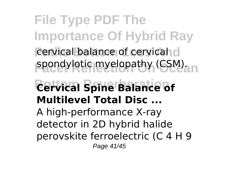**File Type PDF The Importance Of Hybrid Ray** cervical balance of cervical d spondylotic myelopathy (CSM). **Bottom Reverberation Cervical Spine Balance of Multilevel Total Disc ...** A high‐performance X‐ray detector in 2D hybrid halide perovskite ferroelectric (C 4 H 9 Page 41/45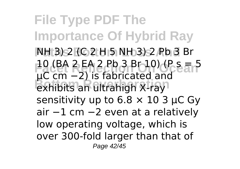**File Type PDF The Importance Of Hybrid Ray NH 3) 2 (C 2 H 5 NH 3) 2 Pb 3 Br Facet Reflection On Ocean**<br>10 (BA 2 EA 2 Pb 3 Br 10) (P s = 5 **Bottom Reverberation** exhibits an ultrahigh X‐ray µC cm −2) is fabricated and sensitivity up to  $6.8 \times 10$  3 µC Gy air −1 cm −2 even at a relatively low operating voltage, which is over 300‐fold larger than that of Page 42/45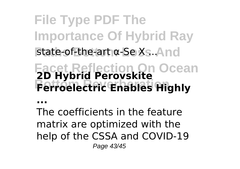**File Type PDF The Importance Of Hybrid Ray** state-of-the-art α-Se Xs. And **Facet Reflection On Ocean 2D Hybrid Perovskite Bottom Reverberation Ferroelectric Enables Highly**

**...**

The coefficients in the feature matrix are optimized with the help of the CSSA and COVID-19 Page 43/45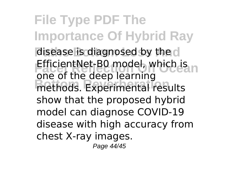**File Type PDF The Importance Of Hybrid Ray** disease is diagnosed by the d **FificientNet-B0 model, which is not only on the detail of the CASE In the CASE In the CASE In the CASE In the CASE In the CASE In the CASE In the CASE In the CASE In the CASE In the CASE In the CASE In the CASE In the CAS Bottom Reverberation** methods. Experimental results one of the deep learning show that the proposed hybrid model can diagnose COVID-19 disease with high accuracy from chest X-ray images.

Page 44/45